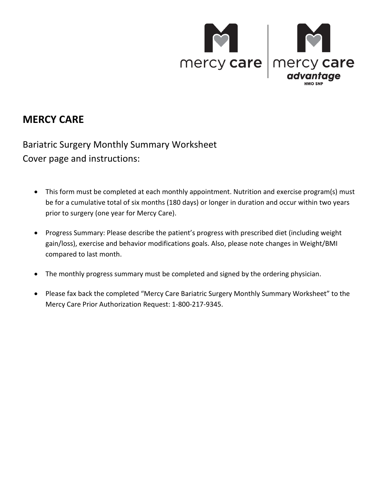

## **MERCY CARE**

 Bariatric Surgery Monthly Summary Worksheet Cover page and instructions:

- • This form must be completed at each monthly appointment. Nutrition and exercise program(s) must be for a cumulative total of six months (180 days) or longer in duration and occur within two years prior to surgery (one year for Mercy Care).
- Progress Summary: Please describe the patient's progress with prescribed diet (including weight gain/loss), exercise and behavior modifications goals. Also, please note changes in Weight/BMI compared to last month.
- The monthly progress summary must be completed and signed by the ordering physician.
- • Please fax back the completed "Mercy Care Bariatric Surgery Monthly Summary Worksheet" to the Mercy Care Prior Authorization Request: 1-800-217-9345.